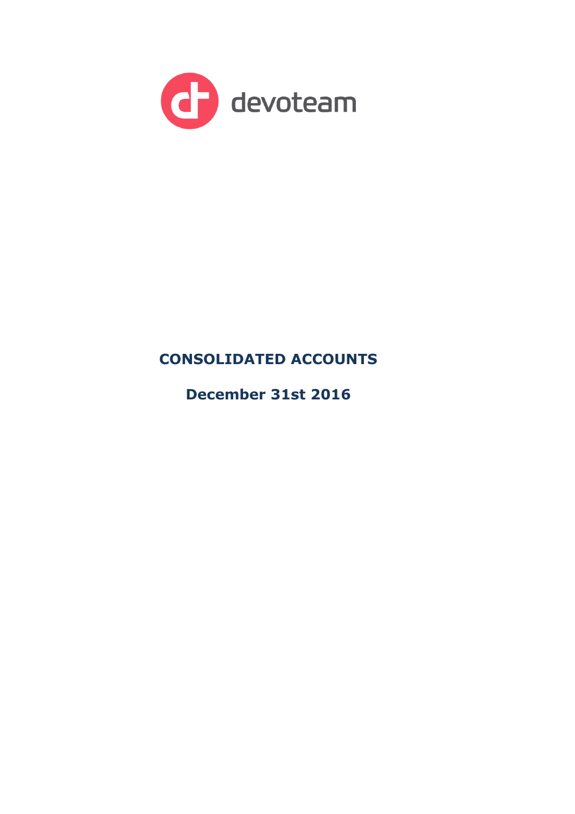

# **CONSOLIDATED ACCOUNTS**

**December 31st 2016**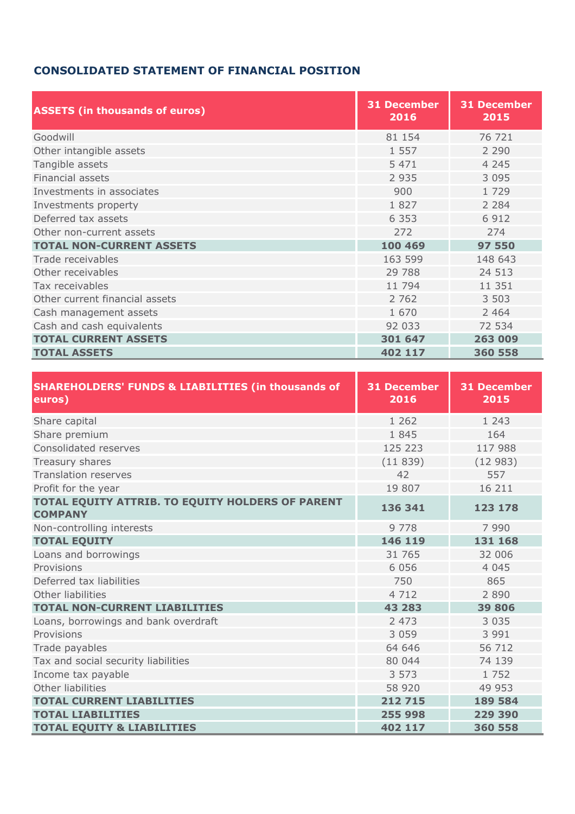## **CONSOLIDATED STATEMENT OF FINANCIAL POSITION**

| <b>ASSETS (in thousands of euros)</b> | <b>31 December</b><br>2016 | <b>31 December</b><br>2015 |
|---------------------------------------|----------------------------|----------------------------|
| Goodwill                              | 81 154                     | 76 721                     |
| Other intangible assets               | 1 5 5 7                    | 2 2 9 0                    |
| Tangible assets                       | 5 4 7 1                    | 4 2 4 5                    |
| <b>Financial assets</b>               | 2 9 3 5                    | 3 0 9 5                    |
| Investments in associates             | 900                        | 1 7 2 9                    |
| Investments property                  | 1827                       | 2 2 8 4                    |
| Deferred tax assets                   | 6 3 5 3                    | 6 9 1 2                    |
| Other non-current assets              | 272                        | 274                        |
| <b>TOTAL NON-CURRENT ASSETS</b>       | 100 469                    | 97 550                     |
| Trade receivables                     | 163 599                    | 148 643                    |
| Other receivables                     | 29 788                     | 24 513                     |
| Tax receivables                       | 11 794                     | 11 351                     |
| Other current financial assets        | 2 7 6 2                    | 3 503                      |
| Cash management assets                | 1 670                      | 2 4 6 4                    |
| Cash and cash equivalents             | 92 033                     | 72 534                     |
| <b>TOTAL CURRENT ASSETS</b>           | 301 647                    | 263 009                    |
| <b>TOTAL ASSETS</b>                   | 402 117                    | 360 558                    |

| <b>SHAREHOLDERS' FUNDS &amp; LIABILITIES (in thousands of</b><br>euros) | <b>31 December</b><br>2016 | <b>31 December</b><br>2015 |
|-------------------------------------------------------------------------|----------------------------|----------------------------|
| Share capital                                                           | 1 2 6 2                    | 1 2 4 3                    |
| Share premium                                                           | 1845                       | 164                        |
| Consolidated reserves                                                   | 125 223                    | 117 988                    |
| Treasury shares                                                         | (11839)                    | (12983)                    |
| <b>Translation reserves</b>                                             | 42                         | 557                        |
| Profit for the year                                                     | 19 807                     | 16 211                     |
| TOTAL EQUITY ATTRIB. TO EQUITY HOLDERS OF PARENT<br><b>COMPANY</b>      | 136 341                    | 123 178                    |
| Non-controlling interests                                               | 9 7 7 8                    | 7 9 9 0                    |
| <b>TOTAL EQUITY</b>                                                     | 146 119                    | 131 168                    |
| Loans and borrowings                                                    | 31 765                     | 32 006                     |
| Provisions                                                              | 6 0 5 6                    | 4 0 4 5                    |
| Deferred tax liabilities                                                | 750                        | 865                        |
| Other liabilities                                                       | 4 7 1 2                    | 2 8 9 0                    |
| <b>TOTAL NON-CURRENT LIABILITIES</b>                                    | 43 283                     | 39 806                     |
| Loans, borrowings and bank overdraft                                    | 2 4 7 3                    | 3 0 3 5                    |
| Provisions                                                              | 3 0 5 9                    | 3 9 9 1                    |
| Trade payables                                                          | 64 646                     | 56 712                     |
| Tax and social security liabilities                                     | 80 044                     | 74 139                     |
| Income tax payable                                                      | 3 5 7 3                    | 1 7 5 2                    |
| Other liabilities                                                       | 58 920                     | 49 953                     |
| <b>TOTAL CURRENT LIABILITIES</b>                                        | 212 715                    | 189 584                    |
| <b>TOTAL LIABILITIES</b>                                                | 255 998                    | 229 390                    |
| <b>TOTAL EQUITY &amp; LIABILITIES</b>                                   | 402 117                    | 360 558                    |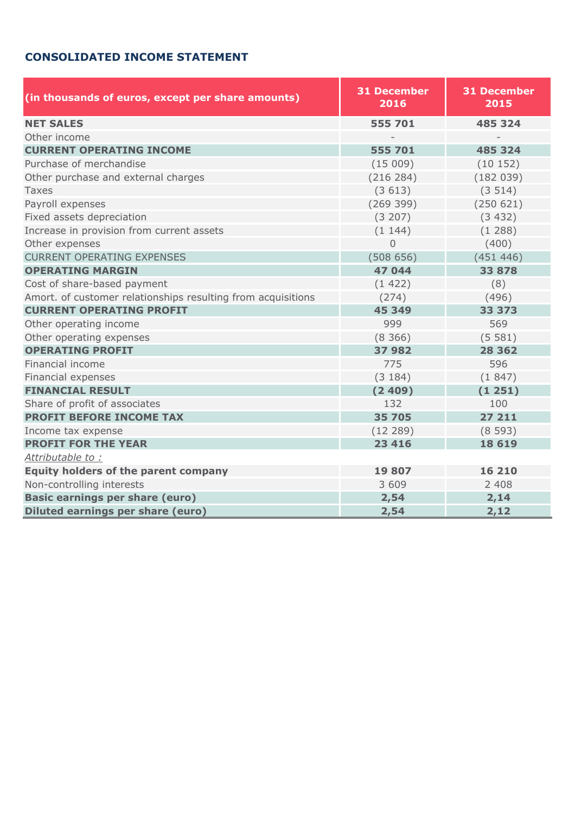## **CONSOLIDATED INCOME STATEMENT**

| (in thousands of euros, except per share amounts)            | <b>31 December</b><br>2016 | <b>31 December</b><br>2015 |  |  |
|--------------------------------------------------------------|----------------------------|----------------------------|--|--|
| <b>NET SALES</b>                                             | 555 701                    | 485 324                    |  |  |
| Other income                                                 |                            |                            |  |  |
| <b>CURRENT OPERATING INCOME</b>                              | 555 701                    | 485 324                    |  |  |
| Purchase of merchandise                                      | (15009)                    | (10152)                    |  |  |
| Other purchase and external charges                          | (216 284)                  | (182039)                   |  |  |
| <b>Taxes</b>                                                 | (3613)                     | (3514)                     |  |  |
| Payroll expenses                                             | (269 399)                  | (250 621)                  |  |  |
| Fixed assets depreciation                                    | (3 207)                    | (3 432)                    |  |  |
| Increase in provision from current assets                    | (1144)                     | (1288)                     |  |  |
| Other expenses                                               | $\overline{0}$             | (400)                      |  |  |
| <b>CURRENT OPERATING EXPENSES</b>                            | (508656)                   | (451446)                   |  |  |
| <b>OPERATING MARGIN</b>                                      | 47 044                     | 33 878                     |  |  |
| Cost of share-based payment                                  | (1422)                     | (8)                        |  |  |
| Amort. of customer relationships resulting from acquisitions | (274)                      | (496)                      |  |  |
| <b>CURRENT OPERATING PROFIT</b>                              | 45 349                     | 33 373                     |  |  |
| Other operating income                                       | 999                        | 569                        |  |  |
| Other operating expenses                                     | (8366)                     | (5581)                     |  |  |
| <b>OPERATING PROFIT</b>                                      | 37 982                     | 28 3 6 2                   |  |  |
| Financial income                                             | 775                        | 596                        |  |  |
| Financial expenses                                           | (3184)                     | (1847)                     |  |  |
| <b>FINANCIAL RESULT</b>                                      | (2409)                     | (1251)                     |  |  |
| Share of profit of associates                                | 132                        | 100                        |  |  |
| <b>PROFIT BEFORE INCOME TAX</b>                              | 35 705                     | 27 211                     |  |  |
| Income tax expense                                           | (12 289)                   | (8593)                     |  |  |
| <b>PROFIT FOR THE YEAR</b>                                   | 23 416                     | 18 6 19                    |  |  |
| Attributable to:                                             |                            |                            |  |  |
| <b>Equity holders of the parent company</b>                  | 19 807                     | 16 210                     |  |  |
| Non-controlling interests                                    | 3 609                      | 2 4 0 8                    |  |  |
| <b>Basic earnings per share (euro)</b>                       | 2,54                       | 2,14                       |  |  |
| <b>Diluted earnings per share (euro)</b>                     | 2,54                       | 2,12                       |  |  |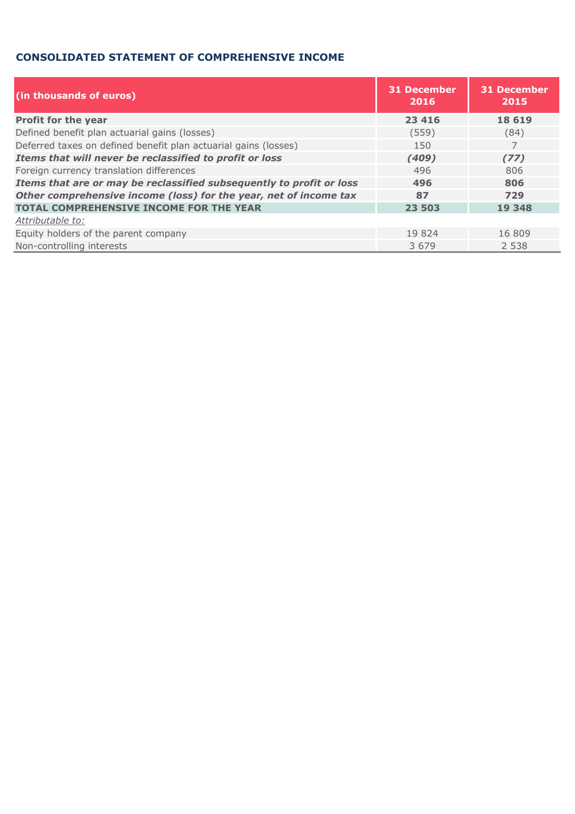### **CONSOLIDATED STATEMENT OF COMPREHENSIVE INCOME**

| (in thousands of euros)                                              | <b>31 December</b><br>2016 | <b>31 December</b><br>2015 |
|----------------------------------------------------------------------|----------------------------|----------------------------|
| Profit for the year                                                  | 23 4 16                    | 18 6 19                    |
| Defined benefit plan actuarial gains (losses)                        | (559)                      | (84)                       |
| Deferred taxes on defined benefit plan actuarial gains (losses)      | 150                        | 7                          |
| Items that will never be reclassified to profit or loss              | (409)                      | (77)                       |
| Foreign currency translation differences                             | 496                        | 806                        |
| Items that are or may be reclassified subsequently to profit or loss | 496                        | 806                        |
| Other comprehensive income (loss) for the year, net of income tax    | 87                         | 729                        |
| <b>TOTAL COMPREHENSIVE INCOME FOR THE YEAR</b>                       | 23 503                     | 19 348                     |
| Attributable to:                                                     |                            |                            |
| Equity holders of the parent company                                 | 19 824                     | 16 809                     |
| Non-controlling interests                                            | 3 6 7 9                    | 2 5 3 8                    |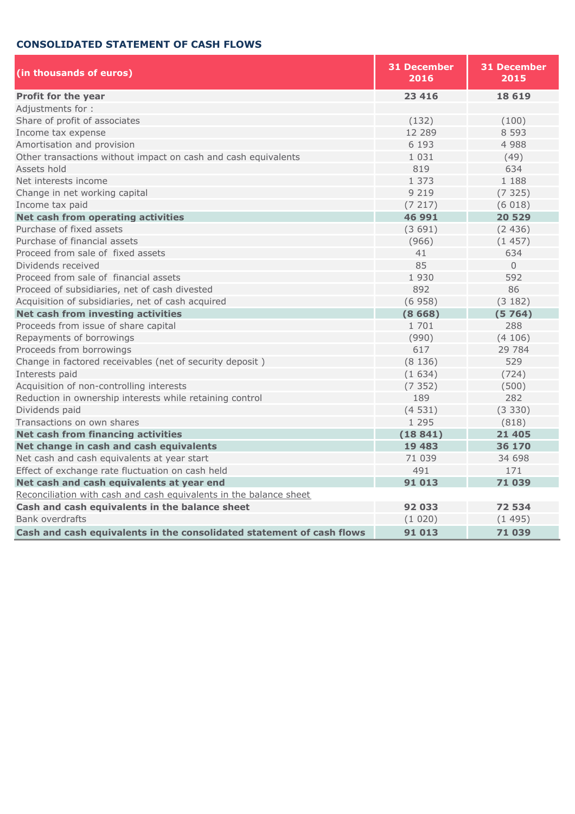### **CONSOLIDATED STATEMENT OF CASH FLOWS**

| (in thousands of euros)                                               | <b>31 December</b><br>2016 | <b>31 December</b><br>2015 |  |  |
|-----------------------------------------------------------------------|----------------------------|----------------------------|--|--|
| Profit for the year                                                   | 23 416                     | 18 6 19                    |  |  |
| Adjustments for:                                                      |                            |                            |  |  |
| Share of profit of associates                                         | (132)                      | (100)                      |  |  |
| Income tax expense                                                    | 12 289                     | 8 5 9 3                    |  |  |
| Amortisation and provision                                            | 6 1 9 3                    | 4 9 8 8                    |  |  |
| Other transactions without impact on cash and cash equivalents        | 1 0 3 1                    | (49)                       |  |  |
| Assets hold                                                           | 819                        | 634                        |  |  |
| Net interests income                                                  | 1 373                      | 1 188                      |  |  |
| Change in net working capital                                         | 9 2 1 9                    | (7325)                     |  |  |
| Income tax paid                                                       | (7217)                     | (6018)                     |  |  |
| Net cash from operating activities                                    | 46 991                     | 20 5 29                    |  |  |
| Purchase of fixed assets                                              | (3691)                     | (2436)                     |  |  |
| Purchase of financial assets                                          | (966)                      | (1457)                     |  |  |
| Proceed from sale of fixed assets                                     | 41                         | 634                        |  |  |
| Dividends received                                                    | 85                         | $\Omega$                   |  |  |
| Proceed from sale of financial assets                                 | 1 9 3 0                    | 592                        |  |  |
| Proceed of subsidiaries, net of cash divested                         | 892                        | 86                         |  |  |
| Acquisition of subsidiaries, net of cash acquired                     | (6958)                     | (3 182)                    |  |  |
| Net cash from investing activities                                    | (8668)                     | (5764)                     |  |  |
| Proceeds from issue of share capital                                  | 1 701                      | 288                        |  |  |
| Repayments of borrowings                                              | (990)                      | (4106)                     |  |  |
| Proceeds from borrowings                                              | 617                        | 29 784                     |  |  |
| Change in factored receivables (net of security deposit)              | (8136)                     | 529                        |  |  |
| Interests paid                                                        | (1634)                     | (724)                      |  |  |
| Acquisition of non-controlling interests                              | (7352)                     | (500)                      |  |  |
| Reduction in ownership interests while retaining control              | 189                        | 282                        |  |  |
| Dividends paid                                                        | (4531)                     | (3330)                     |  |  |
| Transactions on own shares                                            | 1 2 9 5                    | (818)                      |  |  |
| <b>Net cash from financing activities</b>                             | (18841)                    | 21 4 0 5                   |  |  |
| Net change in cash and cash equivalents                               | 19 483                     | 36 170                     |  |  |
| Net cash and cash equivalents at year start                           | 71 039                     | 34 698                     |  |  |
| Effect of exchange rate fluctuation on cash held                      | 491                        | 171                        |  |  |
| Net cash and cash equivalents at year end                             | 91 013                     | 71039                      |  |  |
| Reconciliation with cash and cash equivalents in the balance sheet    |                            |                            |  |  |
| Cash and cash equivalents in the balance sheet                        | 92 033                     | 72 534                     |  |  |
| <b>Bank overdrafts</b>                                                | (1020)                     | (1495)                     |  |  |
| Cash and cash equivalents in the consolidated statement of cash flows | 91 013                     | 71039                      |  |  |